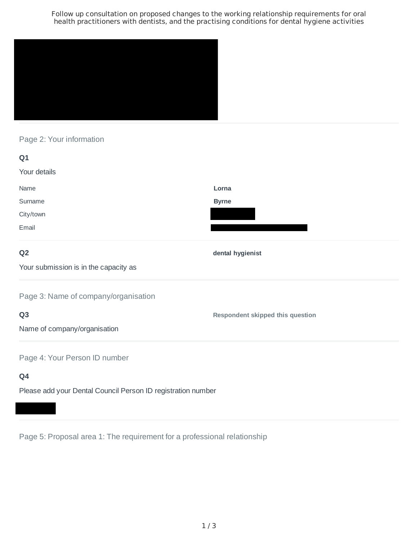Follow up consultation on proposed changes to the working relationship requirements for oral health practitioners with dentists, and the practising conditions for dental hygiene activities



# Page 2: Your information

| Q <sub>1</sub>                        |                                         |
|---------------------------------------|-----------------------------------------|
| Your details                          |                                         |
| Name                                  | Lorna                                   |
| Surname                               | <b>Byrne</b>                            |
| City/town                             |                                         |
| Email                                 |                                         |
| Q <sub>2</sub>                        | dental hygienist                        |
| Your submission is in the capacity as |                                         |
| Page 3: Name of company/organisation  |                                         |
| Q <sub>3</sub>                        | <b>Respondent skipped this question</b> |
| Name of company/organisation          |                                         |
| Page 4: Your Person ID number         |                                         |
| Q4                                    |                                         |

Please add your Dental Council Person ID registration number

Page 5: Proposal area 1: The requirement for a professional relationship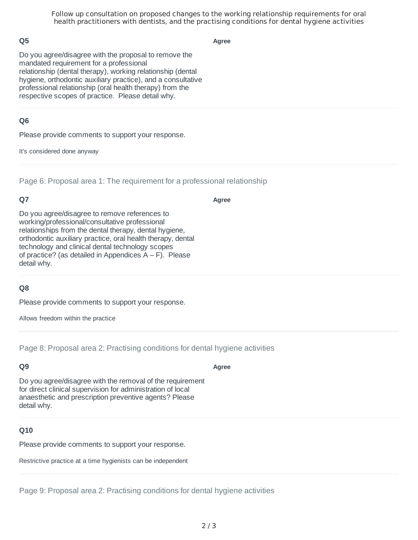Follow up consultation on proposed changes to the working relationship requirements for oral health practitioners with dentists, and the practising conditions for dental hygiene activities

### **Q5**

**Agree**

Do you agree/disagree with the proposal to remove the mandated requirement for a professional relationship (dental therapy), working relationship (dental hygiene, orthodontic auxiliary practice), and a consultative professional relationship (oral health therapy) from the respective scopes of practice. Please detail why.

### **Q6**

Please provide comments to support your response.

It's considered done anyway

Page 6: Proposal area 1: The requirement for a professional relationship

## **Q7**

**Agree**

Do you agree/disagree to remove references to working/professional/consultative professional relationships from the dental therapy, dental hygiene, orthodontic auxiliary practice, oral health therapy, dental technology and clinical dental technology scopes of practice? (as detailed in Appendices  $A - F$ ). Please detail why.

## **Q8**

Please provide comments to support your response.

Allows freedom within the practice

Page 8: Proposal area 2: Practising conditions for dental hygiene activities

### **Q9**

**Agree**

Do you agree/disagree with the removal of the requirement for direct clinical supervision for administration of local anaesthetic and prescription preventive agents? Please detail why.

### **Q10**

Please provide comments to support your response.

Restrictive practice at a time hygienists can be independent

Page 9: Proposal area 2: Practising conditions for dental hygiene activities